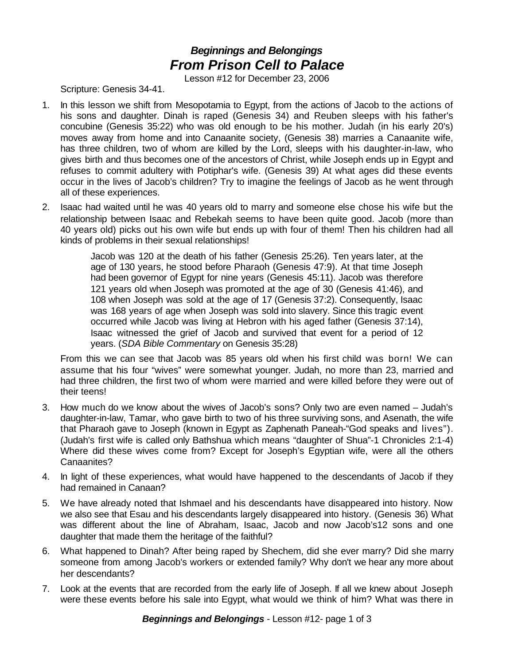## *Beginnings and Belongings From Prison Cell to Palace*

Lesson #12 for December 23, 2006

Scripture: Genesis 34-41.

- 1. In this lesson we shift from Mesopotamia to Egypt, from the actions of Jacob to the actions of his sons and daughter. Dinah is raped (Genesis 34) and Reuben sleeps with his father's concubine (Genesis 35:22) who was old enough to be his mother. Judah (in his early 20's) moves away from home and into Canaanite society, (Genesis 38) marries a Canaanite wife, has three children, two of whom are killed by the Lord, sleeps with his daughter-in-law, who gives birth and thus becomes one of the ancestors of Christ, while Joseph ends up in Egypt and refuses to commit adultery with Potiphar's wife. (Genesis 39) At what ages did these events occur in the lives of Jacob's children? Try to imagine the feelings of Jacob as he went through all of these experiences.
- 2. Isaac had waited until he was 40 years old to marry and someone else chose his wife but the relationship between Isaac and Rebekah seems to have been quite good. Jacob (more than 40 years old) picks out his own wife but ends up with four of them! Then his children had all kinds of problems in their sexual relationships!

Jacob was 120 at the death of his father (Genesis 25:26). Ten years later, at the age of 130 years, he stood before Pharaoh (Genesis 47:9). At that time Joseph had been governor of Egypt for nine years (Genesis 45:11). Jacob was therefore 121 years old when Joseph was promoted at the age of 30 (Genesis 41:46), and 108 when Joseph was sold at the age of 17 (Genesis 37:2). Consequently, Isaac was 168 years of age when Joseph was sold into slavery. Since this tragic event occurred while Jacob was living at Hebron with his aged father (Genesis 37:14), Isaac witnessed the grief of Jacob and survived that event for a period of 12 years. (*SDA Bible Commentary* on Genesis 35:28)

From this we can see that Jacob was 85 years old when his first child was born! We can assume that his four "wives" were somewhat younger. Judah, no more than 23, married and had three children, the first two of whom were married and were killed before they were out of their teens!

- 3. How much do we know about the wives of Jacob's sons? Only two are even named Judah's daughter-in-law, Tamar, who gave birth to two of his three surviving sons, and Asenath, the wife that Pharaoh gave to Joseph (known in Egypt as Zaphenath Paneah-"God speaks and lives"). (Judah's first wife is called only Bathshua which means "daughter of Shua"-1 Chronicles 2:1-4) Where did these wives come from? Except for Joseph's Egyptian wife, were all the others Canaanites?
- 4. In light of these experiences, what would have happened to the descendants of Jacob if they had remained in Canaan?
- 5. We have already noted that Ishmael and his descendants have disappeared into history. Now we also see that Esau and his descendants largely disappeared into history. (Genesis 36) What was different about the line of Abraham, Isaac, Jacob and now Jacob's12 sons and one daughter that made them the heritage of the faithful?
- 6. What happened to Dinah? After being raped by Shechem, did she ever marry? Did she marry someone from among Jacob's workers or extended family? Why don't we hear any more about her descendants?
- 7. Look at the events that are recorded from the early life of Joseph. If all we knew about Joseph were these events before his sale into Egypt, what would we think of him? What was there in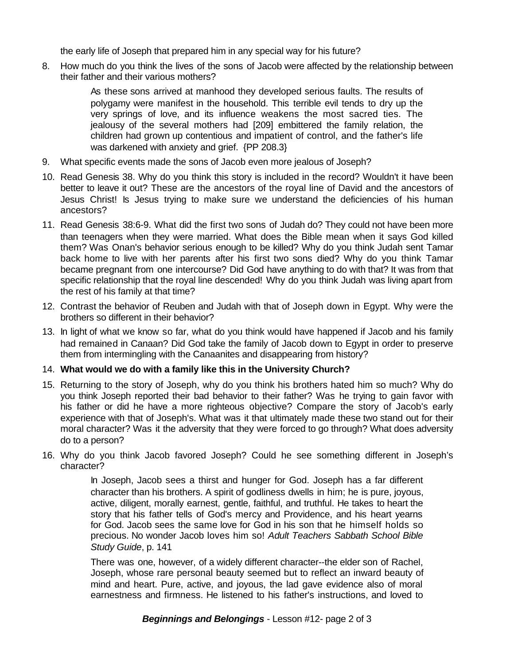the early life of Joseph that prepared him in any special way for his future?

8. How much do you think the lives of the sons of Jacob were affected by the relationship between their father and their various mothers?

> As these sons arrived at manhood they developed serious faults. The results of polygamy were manifest in the household. This terrible evil tends to dry up the very springs of love, and its influence weakens the most sacred ties. The jealousy of the several mothers had [209] embittered the family relation, the children had grown up contentious and impatient of control, and the father's life was darkened with anxiety and grief. {PP 208.3}

- 9. What specific events made the sons of Jacob even more jealous of Joseph?
- 10. Read Genesis 38. Why do you think this story is included in the record? Wouldn't it have been better to leave it out? These are the ancestors of the royal line of David and the ancestors of Jesus Christ! Is Jesus trying to make sure we understand the deficiencies of his human ancestors?
- 11. Read Genesis 38:6-9. What did the first two sons of Judah do? They could not have been more than teenagers when they were married. What does the Bible mean when it says God killed them? Was Onan's behavior serious enough to be killed? Why do you think Judah sent Tamar back home to live with her parents after his first two sons died? Why do you think Tamar became pregnant from one intercourse? Did God have anything to do with that? It was from that specific relationship that the royal line descended! Why do you think Judah was living apart from the rest of his family at that time?
- 12. Contrast the behavior of Reuben and Judah with that of Joseph down in Egypt. Why were the brothers so different in their behavior?
- 13. In light of what we know so far, what do you think would have happened if Jacob and his family had remained in Canaan? Did God take the family of Jacob down to Egypt in order to preserve them from intermingling with the Canaanites and disappearing from history?

## 14. **What would we do with a family like this in the University Church?**

- 15. Returning to the story of Joseph, why do you think his brothers hated him so much? Why do you think Joseph reported their bad behavior to their father? Was he trying to gain favor with his father or did he have a more righteous objective? Compare the story of Jacob's early experience with that of Joseph's. What was it that ultimately made these two stand out for their moral character? Was it the adversity that they were forced to go through? What does adversity do to a person?
- 16. Why do you think Jacob favored Joseph? Could he see something different in Joseph's character?

In Joseph, Jacob sees a thirst and hunger for God. Joseph has a far different character than his brothers. A spirit of godliness dwells in him; he is pure, joyous, active, diligent, morally earnest, gentle, faithful, and truthful. He takes to heart the story that his father tells of God's mercy and Providence, and his heart yearns for God. Jacob sees the same love for God in his son that he himself holds so precious. No wonder Jacob loves him so! *Adult Teachers Sabbath School Bible Study Guide*, p. 141

There was one, however, of a widely different character--the elder son of Rachel, Joseph, whose rare personal beauty seemed but to reflect an inward beauty of mind and heart. Pure, active, and joyous, the lad gave evidence also of moral earnestness and firmness. He listened to his father's instructions, and loved to